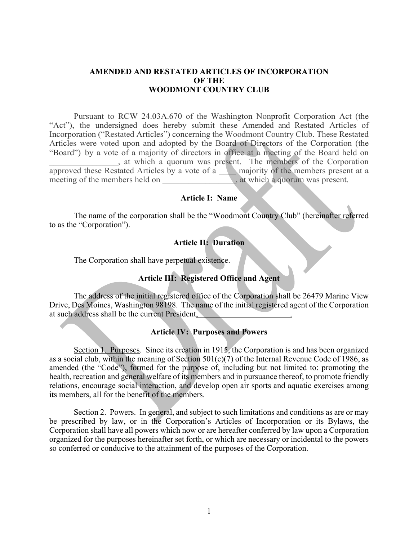### **AMENDED AND RESTATED ARTICLES OF INCORPORATION OF THE WOODMONT COUNTRY CLUB**

Pursuant to RCW 24.03A.670 of the Washington Nonprofit Corporation Act (the "Act"), the undersigned does hereby submit these Amended and Restated Articles of Incorporation ("Restated Articles") concerning the Woodmont Country Club. These Restated Articles were voted upon and adopted by the Board of Directors of the Corporation (the "Board") by a vote of a majority of directors in office at a meeting of the Board held on \_\_\_\_\_\_\_\_\_\_\_\_\_\_\_\_, at which a quorum was present. The members of the Corporation approved these Restated Articles by a vote of a \_\_\_\_ majority of the members present at a meeting of the members held on  $\Box$ , at which a quorum was present.

### **Article I: Name**

The name of the corporation shall be the "Woodmont Country Club" (hereinafter referred to as the "Corporation").

## **Article II: Duration**

The Corporation shall have perpetual existence.

# **Article III: Registered Office and Agent**

The address of the initial registered office of the Corporation shall be 26479 Marine View Drive, Des Moines, Washington 98198. The name of the initial registered agent of the Corporation at such address shall be the current President,

### **Article IV: Purposes and Powers**

Section 1. Purposes. Since its creation in 1915, the Corporation is and has been organized as a social club, within the meaning of Section  $501(c)(7)$  of the Internal Revenue Code of 1986, as amended (the "Code"), formed for the purpose of, including but not limited to: promoting the health, recreation and general welfare of its members and in pursuance thereof, to promote friendly relations, encourage social interaction, and develop open air sports and aquatic exercises among its members, all for the benefit of the members.

Section 2. Powers. In general, and subject to such limitations and conditions as are or may be prescribed by law, or in the Corporation's Articles of Incorporation or its Bylaws, the Corporation shall have all powers which now or are hereafter conferred by law upon a Corporation organized for the purposes hereinafter set forth, or which are necessary or incidental to the powers so conferred or conducive to the attainment of the purposes of the Corporation.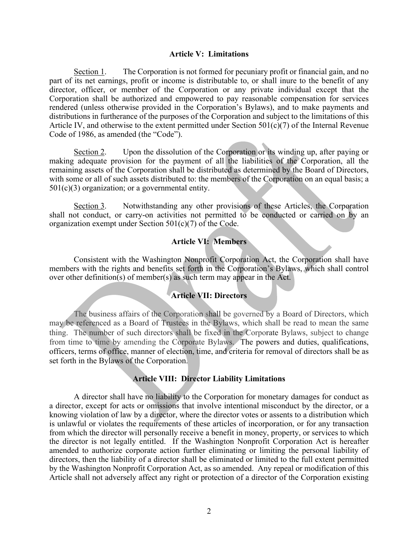#### **Article V: Limitations**

Section 1. The Corporation is not formed for pecuniary profit or financial gain, and no part of its net earnings, profit or income is distributable to, or shall inure to the benefit of any director, officer, or member of the Corporation or any private individual except that the Corporation shall be authorized and empowered to pay reasonable compensation for services rendered (unless otherwise provided in the Corporation's Bylaws), and to make payments and distributions in furtherance of the purposes of the Corporation and subject to the limitations of this Article IV, and otherwise to the extent permitted under Section  $501(c)(7)$  of the Internal Revenue Code of 1986, as amended (the "Code").

Section 2. Upon the dissolution of the Corporation or its winding up, after paying or making adequate provision for the payment of all the liabilities of the Corporation, all the remaining assets of the Corporation shall be distributed as determined by the Board of Directors, with some or all of such assets distributed to: the members of the Corporation on an equal basis; a  $501(c)(3)$  organization; or a governmental entity.

Section 3. Notwithstanding any other provisions of these Articles, the Corporation shall not conduct, or carry-on activities not permitted to be conducted or carried on by an organization exempt under Section 501(c)(7) of the Code.

## **Article VI: Members**

Consistent with the Washington Nonprofit Corporation Act, the Corporation shall have members with the rights and benefits set forth in the Corporation's Bylaws, which shall control over other definition(s) of member(s) as such term may appear in the Act.

### **Article VII: Directors**

The business affairs of the Corporation shall be governed by a Board of Directors, which may be referenced as a Board of Trustees in the Bylaws, which shall be read to mean the same thing. The number of such directors shall be fixed in the Corporate Bylaws, subject to change from time to time by amending the Corporate Bylaws. The powers and duties, qualifications, officers, terms of office, manner of election, time, and criteria for removal of directors shall be as set forth in the Bylaws of the Corporation.

### **Article VIII: Director Liability Limitations**

A director shall have no liability to the Corporation for monetary damages for conduct as a director, except for acts or omissions that involve intentional misconduct by the director, or a knowing violation of law by a director, where the director votes or assents to a distribution which is unlawful or violates the requirements of these articles of incorporation, or for any transaction from which the director will personally receive a benefit in money, property, or services to which the director is not legally entitled. If the Washington Nonprofit Corporation Act is hereafter amended to authorize corporate action further eliminating or limiting the personal liability of directors, then the liability of a director shall be eliminated or limited to the full extent permitted by the Washington Nonprofit Corporation Act, as so amended. Any repeal or modification of this Article shall not adversely affect any right or protection of a director of the Corporation existing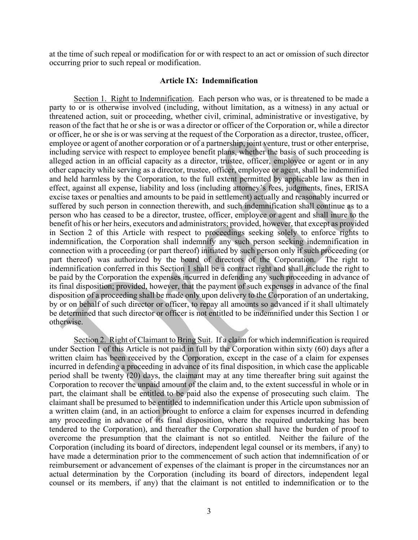at the time of such repeal or modification for or with respect to an act or omission of such director occurring prior to such repeal or modification.

### **Article IX: Indemnification**

Section 1. Right to Indemnification. Each person who was, or is threatened to be made a party to or is otherwise involved (including, without limitation, as a witness) in any actual or threatened action, suit or proceeding, whether civil, criminal, administrative or investigative, by reason of the fact that he or she is or was a director or officer of the Corporation or, while a director or officer, he or she is or was serving at the request of the Corporation as a director, trustee, officer, employee or agent of another corporation or of a partnership, joint venture, trust or other enterprise, including service with respect to employee benefit plans, whether the basis of such proceeding is alleged action in an official capacity as a director, trustee, officer, employee or agent or in any other capacity while serving as a director, trustee, officer, employee or agent, shall be indemnified and held harmless by the Corporation, to the full extent permitted by applicable law as then in effect, against all expense, liability and loss (including attorney's fees, judgments, fines, ERISA excise taxes or penalties and amounts to be paid in settlement) actually and reasonably incurred or suffered by such person in connection therewith, and such indemnification shall continue as to a person who has ceased to be a director, trustee, officer, employee or agent and shall inure to the benefit of his or her heirs, executors and administrators; provided, however, that except as provided in Section 2 of this Article with respect to proceedings seeking solely to enforce rights to indemnification, the Corporation shall indemnify any such person seeking indemnification in connection with a proceeding (or part thereof) initiated by such person only if such proceeding (or part thereof) was authorized by the board of directors of the Corporation. The right to indemnification conferred in this Section 1 shall be a contract right and shall include the right to be paid by the Corporation the expenses incurred in defending any such proceeding in advance of its final disposition; provided, however, that the payment of such expenses in advance of the final disposition of a proceeding shall be made only upon delivery to the Corporation of an undertaking, by or on behalf of such director or officer, to repay all amounts so advanced if it shall ultimately be determined that such director or officer is not entitled to be indemnified under this Section 1 or otherwise.

Section 2. Right of Claimant to Bring Suit. If a claim for which indemnification is required under Section 1 of this Article is not paid in full by the Corporation within sixty (60) days after a written claim has been received by the Corporation, except in the case of a claim for expenses incurred in defending a proceeding in advance of its final disposition, in which case the applicable period shall be twenty (20) days, the claimant may at any time thereafter bring suit against the Corporation to recover the unpaid amount of the claim and, to the extent successful in whole or in part, the claimant shall be entitled to be paid also the expense of prosecuting such claim. The claimant shall be presumed to be entitled to indemnification under this Article upon submission of a written claim (and, in an action brought to enforce a claim for expenses incurred in defending any proceeding in advance of its final disposition, where the required undertaking has been tendered to the Corporation), and thereafter the Corporation shall have the burden of proof to overcome the presumption that the claimant is not so entitled. Neither the failure of the Corporation (including its board of directors, independent legal counsel or its members, if any) to have made a determination prior to the commencement of such action that indemnification of or reimbursement or advancement of expenses of the claimant is proper in the circumstances nor an actual determination by the Corporation (including its board of directors, independent legal counsel or its members, if any) that the claimant is not entitled to indemnification or to the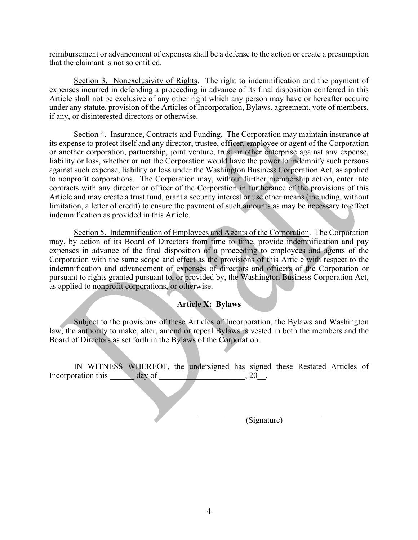reimbursement or advancement of expenses shall be a defense to the action or create a presumption that the claimant is not so entitled.

Section 3. Nonexclusivity of Rights. The right to indemnification and the payment of expenses incurred in defending a proceeding in advance of its final disposition conferred in this Article shall not be exclusive of any other right which any person may have or hereafter acquire under any statute, provision of the Articles of Incorporation, Bylaws, agreement, vote of members, if any, or disinterested directors or otherwise.

Section 4. Insurance, Contracts and Funding. The Corporation may maintain insurance at its expense to protect itself and any director, trustee, officer, employee or agent of the Corporation or another corporation, partnership, joint venture, trust or other enterprise against any expense, liability or loss, whether or not the Corporation would have the power to indemnify such persons against such expense, liability or loss under the Washington Business Corporation Act, as applied to nonprofit corporations. The Corporation may, without further membership action, enter into contracts with any director or officer of the Corporation in furtherance of the provisions of this Article and may create a trust fund, grant a security interest or use other means (including, without limitation, a letter of credit) to ensure the payment of such amounts as may be necessary to effect indemnification as provided in this Article.

Section 5. Indemnification of Employees and Agents of the Corporation. The Corporation may, by action of its Board of Directors from time to time, provide indemnification and pay expenses in advance of the final disposition of a proceeding to employees and agents of the Corporation with the same scope and effect as the provisions of this Article with respect to the indemnification and advancement of expenses of directors and officers of the Corporation or pursuant to rights granted pursuant to, or provided by, the Washington Business Corporation Act, as applied to nonprofit corporations, or otherwise.

# **Article X: Bylaws**

Subject to the provisions of these Articles of Incorporation, the Bylaws and Washington law, the authority to make, alter, amend or repeal Bylaws is vested in both the members and the Board of Directors as set forth in the Bylaws of the Corporation.

IN WITNESS WHEREOF, the undersigned has signed these Restated Articles of Incorporation this day of 1.1 and 1.20.

(Signature)